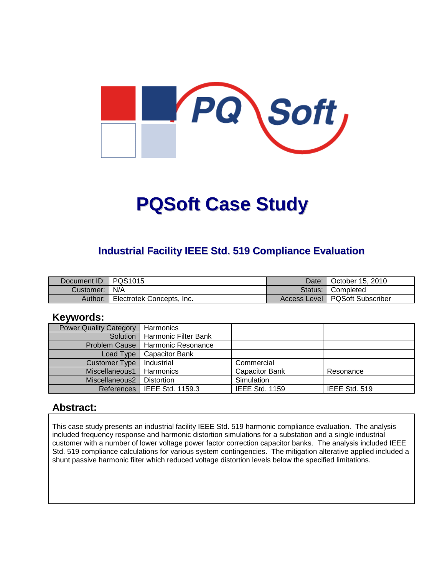

# **PQSoft Case Study**

## **Industrial Facility IEEE Std. 519 Compliance Evaluation**

| Document ID: PQS1015 |                           | Date: I | October 15, 2010                 |
|----------------------|---------------------------|---------|----------------------------------|
| Customer:   N/A      |                           |         | Status: Completed                |
| Author:              | Electrotek Concepts, Inc. |         | Access Level   PQSoft Subscriber |

#### **Keywords:**

| <b>Power Quality Category</b> | Harmonics                     |                       |               |
|-------------------------------|-------------------------------|-----------------------|---------------|
| Solution                      | Harmonic Filter Bank          |                       |               |
| <b>Problem Cause</b>          | l Harmonic Resonance          |                       |               |
| Load Type                     | <b>Capacitor Bank</b>         |                       |               |
| Customer Type                 | Industrial                    | Commercial            |               |
| Miscellaneous1                | Harmonics                     | <b>Capacitor Bank</b> | Resonance     |
| Miscellaneous2                | <b>Distortion</b>             | Simulation            |               |
|                               | References   IEEE Std. 1159.3 | <b>IEEE Std. 1159</b> | IEEE Std. 519 |

#### **Abstract:**

This case study presents an industrial facility IEEE Std. 519 harmonic compliance evaluation. The analysis included frequency response and harmonic distortion simulations for a substation and a single industrial customer with a number of lower voltage power factor correction capacitor banks. The analysis included IEEE Std. 519 compliance calculations for various system contingencies. The mitigation alterative applied included a shunt passive harmonic filter which reduced voltage distortion levels below the specified limitations.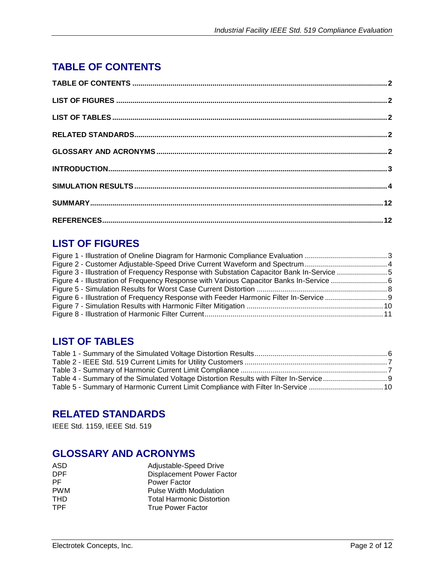# **TABLE OF CONTENTS**

# **LIST OF FIGURES**

| Figure 3 - Illustration of Frequency Response with Substation Capacitor Bank In-Service 5 |  |
|-------------------------------------------------------------------------------------------|--|
|                                                                                           |  |
|                                                                                           |  |
|                                                                                           |  |
|                                                                                           |  |
|                                                                                           |  |
|                                                                                           |  |

# **LIST OF TABLES**

# **RELATED STANDARDS**

IEEE Std. 1159, IEEE Std. 519

#### **GLOSSARY AND ACRONYMS**

| <b>ASD</b> | Adjustable-Speed Drive           |
|------------|----------------------------------|
| DPF.       | <b>Displacement Power Factor</b> |
| PF.        | Power Factor                     |
| <b>PWM</b> | <b>Pulse Width Modulation</b>    |
| THD        | <b>Total Harmonic Distortion</b> |
| TPF.       | <b>True Power Factor</b>         |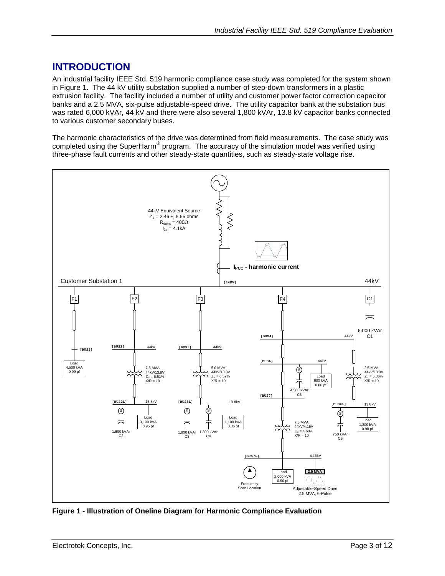## **INTRODUCTION**

An industrial facility IEEE Std. 519 harmonic compliance case study was completed for the system shown in [Figure 1.](#page-2-0) The 44 kV utility substation supplied a number of step-down transformers in a plastic extrusion facility. The facility included a number of utility and customer power factor correction capacitor banks and a 2.5 MVA, six-pulse adjustable-speed drive. The utility capacitor bank at the substation bus was rated 6,000 kVAr, 44 kV and there were also several 1,800 kVAr, 13.8 kV capacitor banks connected to various customer secondary buses.

The harmonic characteristics of the drive was determined from field measurements. The case study was completed using the SuperHarm<sup>®</sup> program. The accuracy of the simulation model was verified using three-phase fault currents and other steady-state quantities, such as steady-state voltage rise.



<span id="page-2-0"></span>**Figure 1 - Illustration of Oneline Diagram for Harmonic Compliance Evaluation**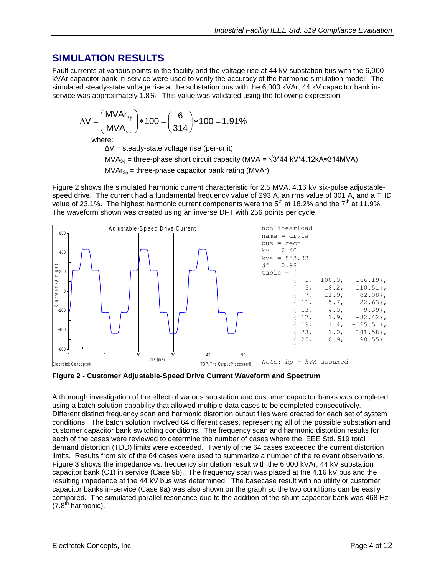## **SIMULATION RESULTS**

Fault currents at various points in the facility and the voltage rise at 44 kV substation bus with the 6,000 kVAr capacitor bank in-service were used to verify the accuracy of the harmonic simulation model. The simulated steady-state voltage rise at the substation bus with the 6,000 kVAr, 44 kV capacitor bank in-

service was approximately 1.8%. This value was validated using the following expression:\n
$$
\Delta V = \left(\frac{M V A r_{3\phi}}{M V A_{\rm sc}}\right) * 100 = \left(\frac{6}{314}\right) * 100 = 1.91\%
$$

where:

ΔV = steady-state voltage rise (per-unit)

MVA<sub>3<sup> $\phi$ </sub> = three-phase short circuit capacity (MVA =  $\sqrt{3}$ \*44 kV\*4.12kA≈314MVA)</sub></sup>

 $MVar_{3\phi}$  = three-phase capacitor bank rating (MVAr)

[Figure 2](#page-3-0) shows the simulated harmonic current characteristic for 2.5 MVA, 4.16 kV six-pulse adjustablespeed drive. The current had a fundamental frequency value of 293 A, an rms value of 301 A, and a THD value of 23.1%. The highest harmonic current components were the  $5<sup>th</sup>$  at 18.2% and the  $7<sup>th</sup>$  at 11.9%. The waveform shown was created using an inverse DFT with 256 points per cycle.



<span id="page-3-0"></span>**Figure 2 - Customer Adjustable-Speed Drive Current Waveform and Spectrum**

A thorough investigation of the effect of various substation and customer capacitor banks was completed using a batch solution capability that allowed multiple data cases to be completed consecutively. Different distinct frequency scan and harmonic distortion output files were created for each set of system conditions. The batch solution involved 64 different cases, representing all of the possible substation and customer capacitor bank switching conditions. The frequency scan and harmonic distortion results for each of the cases were reviewed to determine the number of cases where the IEEE Std. 519 total demand distortion (TDD) limits were exceeded. Twenty of the 64 cases exceeded the current distortion limits. Results from six of the 64 cases were used to summarize a number of the relevant observations. [Figure 3](#page-4-0) shows the impedance vs. frequency simulation result with the 6,000 kVAr, 44 kV substation capacitor bank (C1) in service (Case 9b). The frequency scan was placed at the 4.16 kV bus and the resulting impedance at the 44 kV bus was determined. The basecase result with no utility or customer capacitor banks in-service (Case 9a) was also shown on the graph so the two conditions can be easily compared. The simulated parallel resonance due to the addition of the shunt capacitor bank was 468 Hz  $(7.8<sup>th</sup>$  harmonic).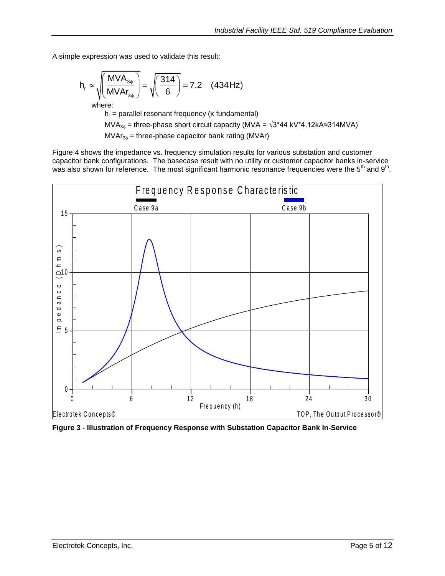A simple expression was used to validate this result:

$$
h_r \approx \sqrt{\left(\frac{MVA_{3\phi}}{MVA_{3\phi}}\right)} = \sqrt{\left(\frac{314}{6}\right)} = 7.2 \quad (434 \text{ Hz})
$$

where:

 $h_r$  = parallel resonant frequency (x fundamental)

MVA<sub>3</sub> = three-phase short circuit capacity (MVA =  $\sqrt{3}$ \*44 kV\*4.12kA≈314MVA)

 $MVAr_{3\phi}$  = three-phase capacitor bank rating (MVAr)

[Figure 4](#page-5-0) shows the impedance vs. frequency simulation results for various substation and customer capacitor bank configurations. The basecase result with no utility or customer capacitor banks in-service was also shown for reference. The most significant harmonic resonance frequencies were the 5<sup>th</sup> and 9<sup>th</sup>.



<span id="page-4-0"></span>**Figure 3 - Illustration of Frequency Response with Substation Capacitor Bank In-Service**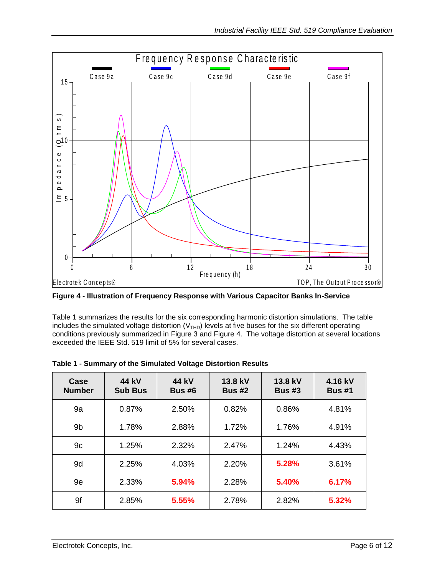

<span id="page-5-0"></span>**Figure 4 - Illustration of Frequency Response with Various Capacitor Banks In-Service**

[Table 1](#page-5-1) summarizes the results for the six corresponding harmonic distortion simulations. The table includes the simulated voltage distortion ( $V<sub>THD</sub>$ ) levels at five buses for the six different operating conditions previously summarized in [Figure 3](#page-4-0) and [Figure 4.](#page-5-0) The voltage distortion at several locations exceeded the IEEE Std. 519 limit of 5% for several cases.

| Case<br><b>Number</b> | 44 kV<br><b>Sub Bus</b> | 44 kV<br><b>Bus #6</b> | 13.8 kV<br><b>Bus #2</b> | 13.8 kV<br><b>Bus #3</b> | 4.16 kV<br><b>Bus #1</b> |
|-----------------------|-------------------------|------------------------|--------------------------|--------------------------|--------------------------|
| 9a                    | 0.87%                   | 2.50%                  | 0.82%                    | 0.86%                    | 4.81%                    |
| 9 <sub>b</sub>        | 1.78%                   | 2.88%                  | 1.72%                    | 1.76%                    | 4.91%                    |
| 9c                    | 1.25%                   | 2.32%                  | 2.47%                    | 1.24%                    | 4.43%                    |
| 9d                    | 2.25%                   | 4.03%                  | 2.20%                    | 5.28%                    | 3.61%                    |
| 9e                    | 2.33%                   | 5.94%                  | 2.28%                    | 5.40%                    | 6.17%                    |
| 9f                    | 2.85%                   | 5.55%                  | 2.78%                    | 2.82%                    | 5.32%                    |

<span id="page-5-1"></span>

| Table 1 - Summary of the Simulated Voltage Distortion Results |  |  |
|---------------------------------------------------------------|--|--|
|---------------------------------------------------------------|--|--|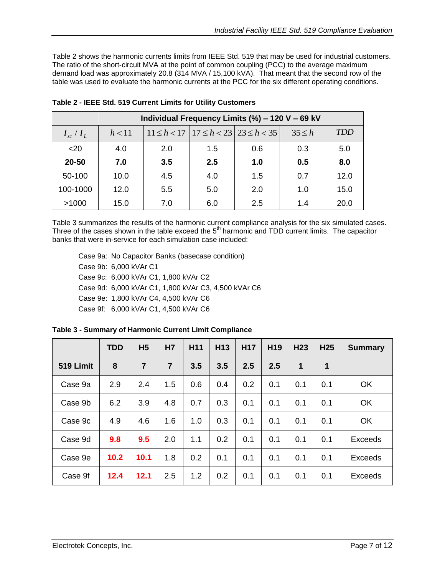[Table 2](#page-6-0) shows the harmonic currents limits from IEEE Std. 519 that may be used for industrial customers. The ratio of the short-circuit MVA at the point of common coupling (PCC) to the average maximum demand load was approximately 20.8 (314 MVA / 15,100 kVA). That meant that the second row of the table was used to evaluate the harmonic currents at the PCC for the six different operating conditions.

| Individual Frequency Limits (%) - 120 V - 69 kV |        |     |     |                                                     |             |            |  |
|-------------------------------------------------|--------|-----|-----|-----------------------------------------------------|-------------|------------|--|
| $I_{sc}/I_L$                                    | h < 11 |     |     | $11 \le h < 17$   $17 \le h < 23$   $23 \le h < 35$ | $35 \leq h$ | <b>TDD</b> |  |
| $<$ 20                                          | 4.0    | 2.0 | 1.5 | 0.6                                                 | 0.3         | 5.0        |  |
| 20-50                                           | 7.0    | 3.5 | 2.5 | 1.0                                                 | 0.5         | 8.0        |  |
| 50-100                                          | 10.0   | 4.5 | 4.0 | 1.5                                                 | 0.7         | 12.0       |  |
| 100-1000                                        | 12.0   | 5.5 | 5.0 | 2.0                                                 | 1.0         | 15.0       |  |
| >1000                                           | 15.0   | 7.0 | 6.0 | 2.5                                                 | 1.4         | 20.0       |  |

<span id="page-6-0"></span>**Table 2 - IEEE Std. 519 Current Limits for Utility Customers**

[Table 3](#page-6-1) summarizes the results of the harmonic current compliance analysis for the six simulated cases. Three of the cases shown in the table exceed the  $5<sup>th</sup>$  harmonic and TDD current limits. The capacitor banks that were in-service for each simulation case included:

Case 9a: No Capacitor Banks (basecase condition) Case 9b: 6,000 kVAr C1 Case 9c: 6,000 kVAr C1, 1,800 kVAr C2 Case 9d: 6,000 kVAr C1, 1,800 kVAr C3, 4,500 kVAr C6 Case 9e: 1,800 kVAr C4, 4,500 kVAr C6 Case 9f: 6,000 kVAr C1, 4,500 kVAr C6

|           | <b>TDD</b> | H <sub>5</sub> | H7             | H <sub>11</sub> | H <sub>13</sub> | <b>H17</b> | H <sub>19</sub> | H <sub>23</sub> | H <sub>25</sub> | <b>Summary</b> |
|-----------|------------|----------------|----------------|-----------------|-----------------|------------|-----------------|-----------------|-----------------|----------------|
| 519 Limit | 8          | $\overline{7}$ | $\overline{7}$ | 3.5             | 3.5             | 2.5        | 2.5             | 1               | 1               |                |
| Case 9a   | 2.9        | 2.4            | 1.5            | 0.6             | 0.4             | 0.2        | 0.1             | 0.1             | 0.1             | OK             |
| Case 9b   | 6.2        | 3.9            | 4.8            | 0.7             | 0.3             | 0.1        | 0.1             | 0.1             | 0.1             | OK             |
| Case 9c   | 4.9        | 4.6            | 1.6            | 1.0             | 0.3             | 0.1        | 0.1             | 0.1             | 0.1             | <b>OK</b>      |
| Case 9d   | 9.8        | 9.5            | 2.0            | 1.1             | 0.2             | 0.1        | 0.1             | 0.1             | 0.1             | <b>Exceeds</b> |
| Case 9e   | 10.2       | 10.1           | 1.8            | 0.2             | 0.1             | 0.1        | 0.1             | 0.1             | 0.1             | <b>Exceeds</b> |
| Case 9f   | 12.4       | 12.1           | 2.5            | 1.2             | 0.2             | 0.1        | 0.1             | 0.1             | 0.1             | <b>Exceeds</b> |

<span id="page-6-1"></span>**Table 3 - Summary of Harmonic Current Limit Compliance**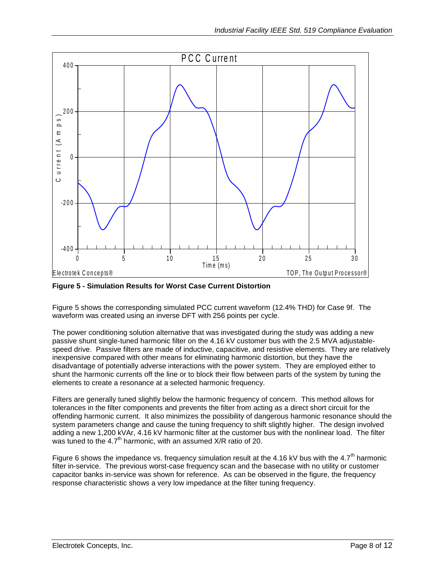

<span id="page-7-0"></span>**Figure 5 - Simulation Results for Worst Case Current Distortion**

[Figure 5](#page-7-0) shows the corresponding simulated PCC current waveform (12.4% THD) for Case 9f. The waveform was created using an inverse DFT with 256 points per cycle.

The power conditioning solution alternative that was investigated during the study was adding a new passive shunt single-tuned harmonic filter on the 4.16 kV customer bus with the 2.5 MVA adjustablespeed drive. Passive filters are made of inductive, capacitive, and resistive elements. They are relatively inexpensive compared with other means for eliminating harmonic distortion, but they have the disadvantage of potentially adverse interactions with the power system. They are employed either to shunt the harmonic currents off the line or to block their flow between parts of the system by tuning the elements to create a resonance at a selected harmonic frequency.

Filters are generally tuned slightly below the harmonic frequency of concern. This method allows for tolerances in the filter components and prevents the filter from acting as a direct short circuit for the offending harmonic current. It also minimizes the possibility of dangerous harmonic resonance should the system parameters change and cause the tuning frequency to shift slightly higher. The design involved adding a new 1,200 kVAr, 4.16 kV harmonic filter at the customer bus with the nonlinear load. The filter was tuned to the 4.7<sup>th</sup> harmonic, with an assumed  $X/R$  ratio of 20.

[Figure 6](#page-8-0) shows the impedance vs. frequency simulation result at the 4.16 kV bus with the 4.7<sup>th</sup> harmonic filter in-service. The previous worst-case frequency scan and the basecase with no utility or customer capacitor banks in-service was shown for reference. As can be observed in the figure, the frequency response characteristic shows a very low impedance at the filter tuning frequency.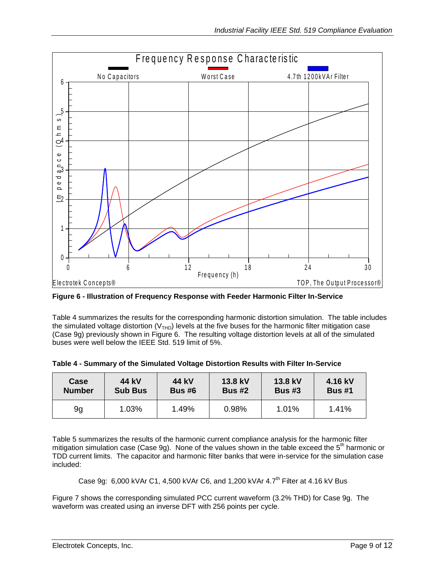

<span id="page-8-0"></span>**Figure 6 - Illustration of Frequency Response with Feeder Harmonic Filter In-Service**

[Table 4](#page-8-1) summarizes the results for the corresponding harmonic distortion simulation. The table includes the simulated voltage distortion ( $V<sub>THD</sub>$ ) levels at the five buses for the harmonic filter mitigation case (Case 9g) previously shown in [Figure 6.](#page-8-0) The resulting voltage distortion levels at all of the simulated buses were well below the IEEE Std. 519 limit of 5%.

| Case          | 44 kV          | 44 kV         | 13.8 kV       | 13.8 kV  | 4.16 kV       |
|---------------|----------------|---------------|---------------|----------|---------------|
| <b>Number</b> | <b>Sub Bus</b> | <b>Bus #6</b> | <b>Bus #2</b> | Bus $#3$ | <b>Bus #1</b> |
| 9g            | 1.03%          | 1.49%         | 0.98%         | $1.01\%$ | 1.41%         |

<span id="page-8-1"></span>

|  | Table 4 - Summary of the Simulated Voltage Distortion Results with Filter In-Service |  |
|--|--------------------------------------------------------------------------------------|--|

[Table 5](#page-9-0) summarizes the results of the harmonic current compliance analysis for the harmonic filter mitigation simulation case (Case 9g). None of the values shown in the table exceed the  $5<sup>th</sup>$  harmonic or TDD current limits. The capacitor and harmonic filter banks that were in-service for the simulation case included:

Case 9g:  $6,000$  kVAr C1, 4,500 kVAr C6, and 1,200 kVAr 4.7<sup>th</sup> Filter at 4.16 kV Bus

[Figure 7](#page-9-1) shows the corresponding simulated PCC current waveform (3.2% THD) for Case 9g. The waveform was created using an inverse DFT with 256 points per cycle.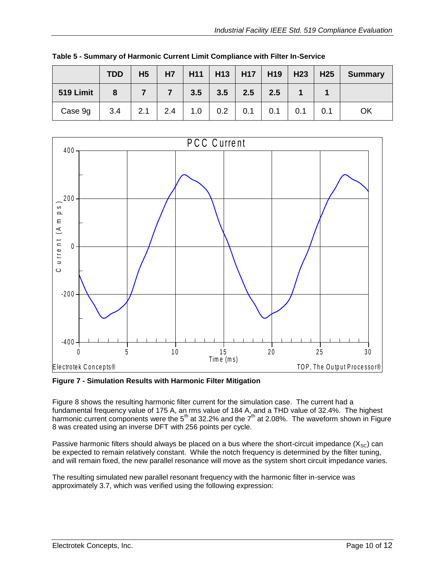|           | <b>TDD</b> | H <sub>5</sub> | <b>H7</b> | H11 |     |     | $H13$   H17   H19   H23 |     | H <sub>25</sub> | <b>Summary</b> |
|-----------|------------|----------------|-----------|-----|-----|-----|-------------------------|-----|-----------------|----------------|
| 519 Limit | 8          |                |           | 3.5 | 3.5 | 2.5 | 2.5                     |     |                 |                |
| Case 9g   | 3.4        | 2.1            | 2.4       | 1.0 | 0.2 | 0.1 | 0.1                     | 0.1 | 0.1             | OK             |

<span id="page-9-0"></span>**Table 5 - Summary of Harmonic Current Limit Compliance with Filter In-Service**



<span id="page-9-1"></span>**Figure 7 - Simulation Results with Harmonic Filter Mitigation**

[Figure 8](#page-10-0) shows the resulting harmonic filter current for the simulation case. The current had a fundamental frequency value of 175 A, an rms value of 184 A, and a THD value of 32.4%. The highest harmonic current components were the 5<sup>th</sup> at 32.2% and the 7<sup>th</sup> at 2.08%. The waveform shown in Figure [8](#page-10-0) was created using an inverse DFT with 256 points per cycle.

Passive harmonic filters should always be placed on a bus where the short-circuit impedance  $(X_{SC})$  can be expected to remain relatively constant. While the notch frequency is determined by the filter tuning, and will remain fixed, the new parallel resonance will move as the system short circuit impedance varies.

The resulting simulated new parallel resonant frequency with the harmonic filter in-service was approximately 3.7, which was verified using the following expression: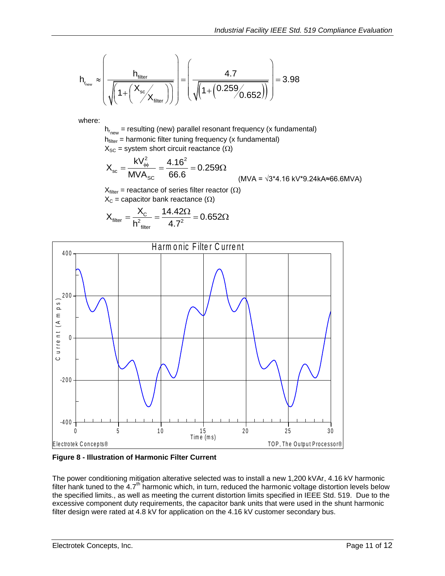$$
h_{r_{\text{new}}} \approx \left(\frac{h_{\text{filter}}}{\sqrt{\left(1 + \left(\frac{X_{\text{sc}}}{X_{\text{filter}}}\right)\right)}}\right) = \left(\frac{4.7}{\sqrt{\left(1 + \left(0.259/0.652\right)\right)}}\right) = 3.98
$$

where:

h<sub>r<sub>new</sub> = resulting (new) parallel resonant frequency (x fundamental)</sub>  $h<sub>filter</sub>$  = harmonic filter tuning frequency (x fundamental)  $X_{SC}$  = system short circuit reactance ( $\Omega$ )

$$
X_{\rm sc} = \frac{kV_{\rm \phi\phi}^2}{MVA_{\rm SC}} = \frac{4.16^2}{66.6} = 0.259\Omega
$$
\n(MVA =  $\sqrt{3}^*4.16 \text{ kV}^*9.24 \text{kA} \approx 66.6 \text{ MVA}$ )

 $X_{filter}$  = reactance of series filter reactor ( $\Omega$ )  $X_c$  = capacitor bank reactance ( $\Omega$ )

$$
X_{\text{filter}} = \frac{X_{\text{c}}}{h_{\text{filter}}^2} = \frac{14.42\Omega}{4.7^2} = 0.652\Omega
$$



<span id="page-10-0"></span>**Figure 8 - Illustration of Harmonic Filter Current**

The power conditioning mitigation alterative selected was to install a new 1,200 kVAr, 4.16 kV harmonic filter hank tuned to the 4.7<sup>th</sup> harmonic which, in turn, reduced the harmonic voltage distortion levels below the specified limits., as well as meeting the current distortion limits specified in IEEE Std. 519. Due to the excessive component duty requirements, the capacitor bank units that were used in the shunt harmonic filter design were rated at 4.8 kV for application on the 4.16 kV customer secondary bus.